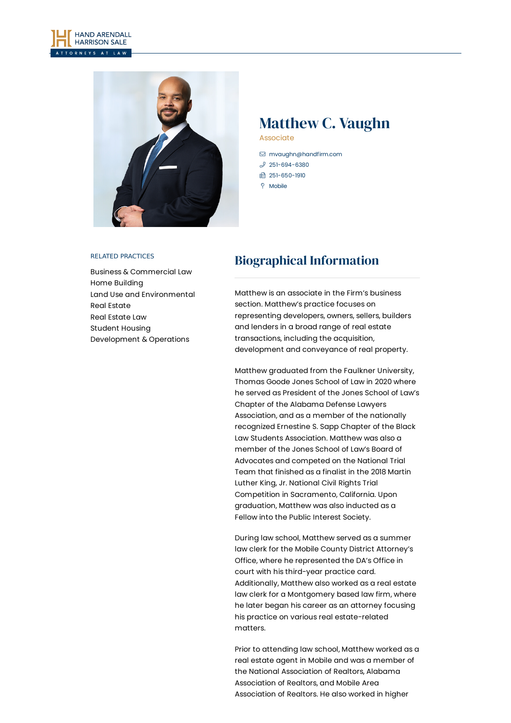



# Matthew C. Vaughn

Associate

- [mvaughn@handfirm.com](mailto:mvaughn@handfirm.com)
- $$251-694-6380$  $$251-694-6380$
- 1 251-650-1910
- $\degree$  Mobile

#### RELATED PRACTICES

Business & [Commercial](https://www.handfirm.com/practices/business-services/business-commercial-law/) Law Home [Building](https://www.handfirm.com/practices/industries/home-building/) Land Use and [Environmental](https://www.handfirm.com/practices/business-services/land-use-and-environmental/) Real [Estate](https://www.handfirm.com/practices/industries/real-estate/) Real [Estate](https://www.handfirm.com/practices/business-services/real-estate-law/) Law Student Housing [Development](https://www.handfirm.com/practices/industries/student-housing-development-operations/) & Operations

## Biographical Information

Matthew is an associate in the Firm's business section. Matthew's practice focuses on representing developers, owners, sellers, builders and lenders in a broad range of real estate transactions, including the acquisition, development and conveyance of real property.

Matthew graduated from the Faulkner University, Thomas Goode Jones School of Law in 2020 where he served as President of the Jones School of Law's Chapter of the Alabama Defense Lawyers Association, and as a member of the nationally recognized Ernestine S. Sapp Chapter of the Black Law Students Association. Matthew was also a member of the Jones School of Law's Board of Advocates and competed on the National Trial Team that finished as a finalist in the 2018 Martin Luther King, Jr. National Civil Rights Trial Competition in Sacramento, California. Upon graduation, Matthew was also inducted as a Fellow into the Public Interest Society.

During law school, Matthew served as a summer law clerk for the Mobile County District Attorney's Office, where he represented the DA's Office in court with his third-year practice card. Additionally, Matthew also worked as a real estate law clerk for a Montgomery based law firm, where he later began his career as an attorney focusing his practice on various real estate-related matters.

Prior to attending law school, Matthew worked as a real estate agent in Mobile and was a member of the National Association of Realtors, Alabama Association of Realtors, and Mobile Area Association of Realtors. He also worked in higher